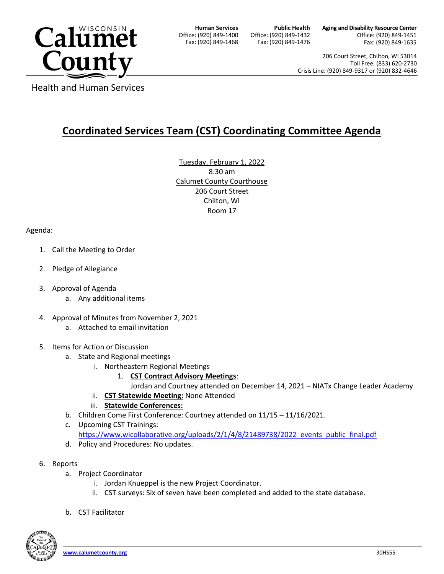

**Human Services** Office: (920) 849-1400 Fax: (920) 849-1468

**Public Health** Office: (920) 849-1432 Fax: (920) 849-1476

**Aging and Disability Resource Center** Office: (920) 849-1451 Fax: (920) 849-1635

206 Court Street, Chilton, WI 53014 Toll Free: (833) 620-2730 Crisis Line: (920) 849-9317 or (920) 832-4646

Health and Human Services

## **Coordinated Services Team (CST) Coordinating Committee Agenda**

Tuesday, February 1, 2022 8:30 am Calumet County Courthouse 206 Court Street Chilton, WI Room 17

## Agenda:

- 1. Call the Meeting to Order
- 2. Pledge of Allegiance
- 3. Approval of Agenda
	- a. Any additional items
- 4. Approval of Minutes from November 2, 2021
	- a. Attached to email invitation
- 5. Items for Action or Discussion
	- a. State and Regional meetings
		- i. Northeastern Regional Meetings
			- 1. **CST Contract Advisory Meetings**:

Jordan and Courtney attended on December 14, 2021 – NIATx Change Leader Academy

ii. **CST Statewide Meeting:** None Attended

## iii. **Statewide Conferences:**

- b. Children Come First Conference: Courtney attended on 11/15 11/16/2021.
- c. Upcoming CST Trainings: [https://www.wicollaborative.org/uploads/2/1/4/8/21489738/2022\\_events\\_public\\_final.pdf](https://www.wicollaborative.org/uploads/2/1/4/8/21489738/2022_events_public_final.pdf)
- d. Policy and Procedures: No updates.
- 6. Reports
	- a. Project Coordinator
		- i. Jordan Knueppel is the new Project Coordinator.
		- ii. CST surveys: Six of seven have been completed and added to the state database.
	- b. CST Facilitator